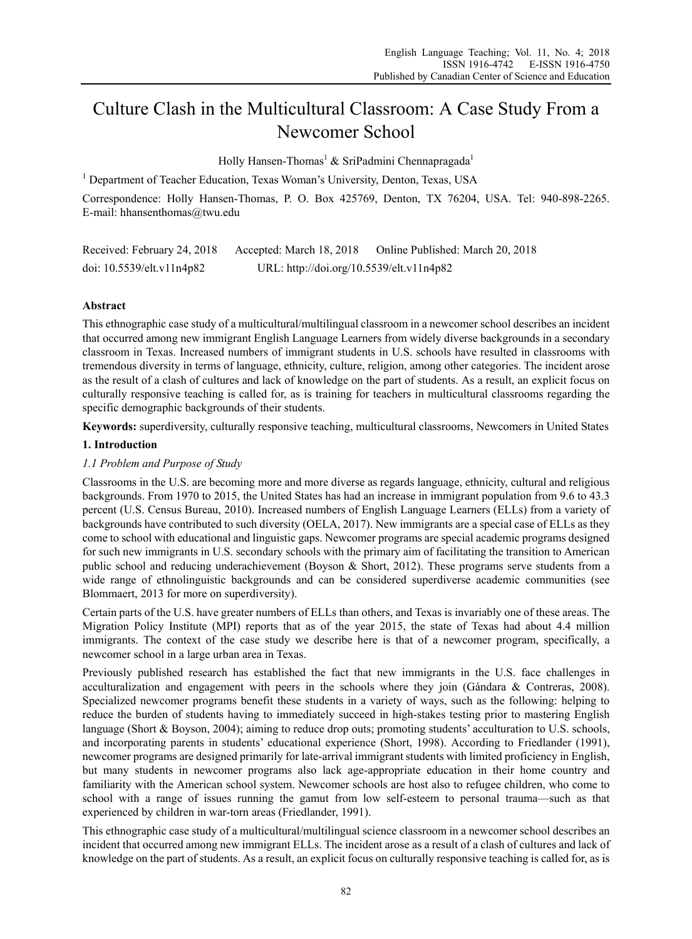# Culture Clash in the Multicultural Classroom: A Case Study From a Newcomer School

Holly Hansen-Thomas<sup>1</sup> & SriPadmini Chennapragada<sup>1</sup>

<sup>1</sup> Department of Teacher Education, Texas Woman's University, Denton, Texas, USA

Correspondence: Holly Hansen-Thomas, P. O. Box 425769, Denton, TX 76204, USA. Tel: 940-898-2265. E-mail: hhansenthomas@twu.edu

Received: February 24, 2018 Accepted: March 18, 2018 Online Published: March 20, 2018 doi: 10.5539/elt.v11n4p82 URL: http://doi.org/10.5539/elt.v11n4p82

### **Abstract**

This ethnographic case study of a multicultural/multilingual classroom in a newcomer school describes an incident that occurred among new immigrant English Language Learners from widely diverse backgrounds in a secondary classroom in Texas. Increased numbers of immigrant students in U.S. schools have resulted in classrooms with tremendous diversity in terms of language, ethnicity, culture, religion, among other categories. The incident arose as the result of a clash of cultures and lack of knowledge on the part of students. As a result, an explicit focus on culturally responsive teaching is called for, as is training for teachers in multicultural classrooms regarding the specific demographic backgrounds of their students.

**Keywords:** superdiversity, culturally responsive teaching, multicultural classrooms, Newcomers in United States

### **1. Introduction**

# *1.1 Problem and Purpose of Study*

Classrooms in the U.S. are becoming more and more diverse as regards language, ethnicity, cultural and religious backgrounds. From 1970 to 2015, the United States has had an increase in immigrant population from 9.6 to 43.3 percent (U.S. Census Bureau, 2010). Increased numbers of English Language Learners (ELLs) from a variety of backgrounds have contributed to such diversity (OELA, 2017). New immigrants are a special case of ELLs as they come to school with educational and linguistic gaps. Newcomer programs are special academic programs designed for such new immigrants in U.S. secondary schools with the primary aim of facilitating the transition to American public school and reducing underachievement (Boyson & Short, 2012). These programs serve students from a wide range of ethnolinguistic backgrounds and can be considered superdiverse academic communities (see Blommaert, 2013 for more on superdiversity).

Certain parts of the U.S. have greater numbers of ELLs than others, and Texas is invariably one of these areas. The Migration Policy Institute (MPI) reports that as of the year 2015, the state of Texas had about 4.4 million immigrants. The context of the case study we describe here is that of a newcomer program, specifically, a newcomer school in a large urban area in Texas.

Previously published research has established the fact that new immigrants in the U.S. face challenges in acculturalization and engagement with peers in the schools where they join (Gándara & Contreras, 2008). Specialized newcomer programs benefit these students in a variety of ways, such as the following: helping to reduce the burden of students having to immediately succeed in high-stakes testing prior to mastering English language (Short & Boyson, 2004); aiming to reduce drop outs; promoting students' acculturation to U.S. schools, and incorporating parents in students' educational experience (Short, 1998). According to Friedlander (1991), newcomer programs are designed primarily for late-arrival immigrant students with limited proficiency in English, but many students in newcomer programs also lack age-appropriate education in their home country and familiarity with the American school system. Newcomer schools are host also to refugee children, who come to school with a range of issues running the gamut from low self-esteem to personal trauma—such as that experienced by children in war-torn areas (Friedlander, 1991).

This ethnographic case study of a multicultural/multilingual science classroom in a newcomer school describes an incident that occurred among new immigrant ELLs. The incident arose as a result of a clash of cultures and lack of knowledge on the part of students. As a result, an explicit focus on culturally responsive teaching is called for, as is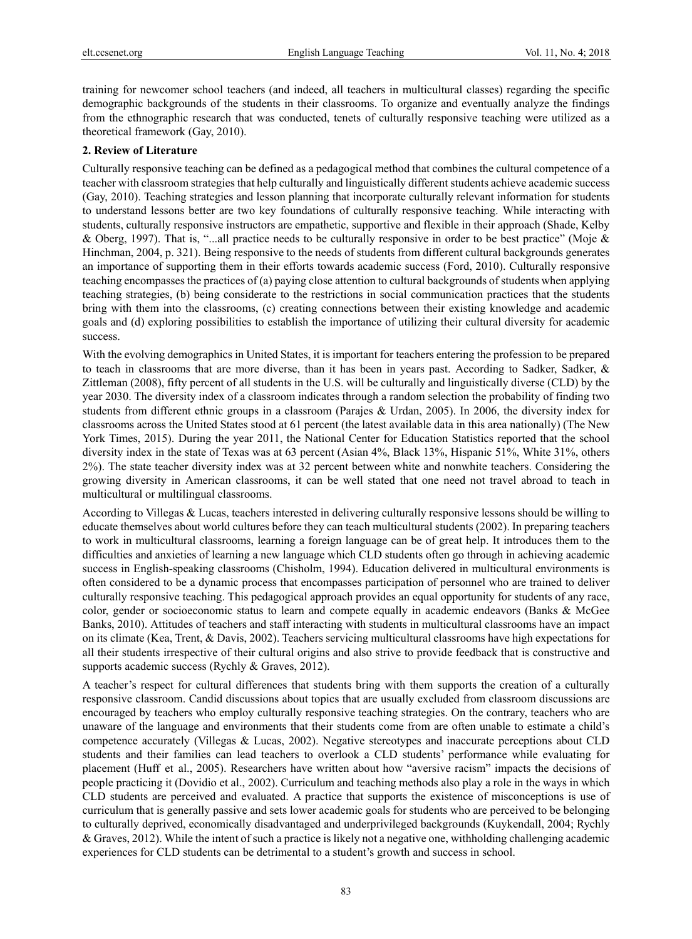training for newcomer school teachers (and indeed, all teachers in multicultural classes) regarding the specific demographic backgrounds of the students in their classrooms. To organize and eventually analyze the findings from the ethnographic research that was conducted, tenets of culturally responsive teaching were utilized as a theoretical framework (Gay, 2010).

#### **2. Review of Literature**

Culturally responsive teaching can be defined as a pedagogical method that combines the cultural competence of a teacher with classroom strategies that help culturally and linguistically different students achieve academic success (Gay, 2010). Teaching strategies and lesson planning that incorporate culturally relevant information for students to understand lessons better are two key foundations of culturally responsive teaching. While interacting with students, culturally responsive instructors are empathetic, supportive and flexible in their approach (Shade, Kelby & Oberg, 1997). That is, "...all practice needs to be culturally responsive in order to be best practice" (Moje & Hinchman, 2004, p. 321). Being responsive to the needs of students from different cultural backgrounds generates an importance of supporting them in their efforts towards academic success (Ford, 2010). Culturally responsive teaching encompasses the practices of (a) paying close attention to cultural backgrounds of students when applying teaching strategies, (b) being considerate to the restrictions in social communication practices that the students bring with them into the classrooms, (c) creating connections between their existing knowledge and academic goals and (d) exploring possibilities to establish the importance of utilizing their cultural diversity for academic success.

With the evolving demographics in United States, it is important for teachers entering the profession to be prepared to teach in classrooms that are more diverse, than it has been in years past. According to Sadker, Sadker, & Zittleman (2008), fifty percent of all students in the U.S. will be culturally and linguistically diverse (CLD) by the year 2030. The diversity index of a classroom indicates through a random selection the probability of finding two students from different ethnic groups in a classroom (Parajes & Urdan, 2005). In 2006, the diversity index for classrooms across the United States stood at 61 percent (the latest available data in this area nationally) (The New York Times, 2015). During the year 2011, the National Center for Education Statistics reported that the school diversity index in the state of Texas was at 63 percent (Asian 4%, Black 13%, Hispanic 51%, White 31%, others 2%). The state teacher diversity index was at 32 percent between white and nonwhite teachers. Considering the growing diversity in American classrooms, it can be well stated that one need not travel abroad to teach in multicultural or multilingual classrooms.

According to Villegas & Lucas, teachers interested in delivering culturally responsive lessons should be willing to educate themselves about world cultures before they can teach multicultural students (2002). In preparing teachers to work in multicultural classrooms, learning a foreign language can be of great help. It introduces them to the difficulties and anxieties of learning a new language which CLD students often go through in achieving academic success in English-speaking classrooms (Chisholm, 1994). Education delivered in multicultural environments is often considered to be a dynamic process that encompasses participation of personnel who are trained to deliver culturally responsive teaching. This pedagogical approach provides an equal opportunity for students of any race, color, gender or socioeconomic status to learn and compete equally in academic endeavors (Banks & McGee Banks, 2010). Attitudes of teachers and staff interacting with students in multicultural classrooms have an impact on its climate (Kea, Trent, & Davis, 2002). Teachers servicing multicultural classrooms have high expectations for all their students irrespective of their cultural origins and also strive to provide feedback that is constructive and supports academic success (Rychly & Graves, 2012).

A teacher's respect for cultural differences that students bring with them supports the creation of a culturally responsive classroom. Candid discussions about topics that are usually excluded from classroom discussions are encouraged by teachers who employ culturally responsive teaching strategies. On the contrary, teachers who are unaware of the language and environments that their students come from are often unable to estimate a child's competence accurately (Villegas & Lucas, 2002). Negative stereotypes and inaccurate perceptions about CLD students and their families can lead teachers to overlook a CLD students' performance while evaluating for placement (Huff et al., 2005). Researchers have written about how "aversive racism" impacts the decisions of people practicing it (Dovidio et al., 2002). Curriculum and teaching methods also play a role in the ways in which CLD students are perceived and evaluated. A practice that supports the existence of misconceptions is use of curriculum that is generally passive and sets lower academic goals for students who are perceived to be belonging to culturally deprived, economically disadvantaged and underprivileged backgrounds (Kuykendall, 2004; Rychly & Graves, 2012). While the intent of such a practice is likely not a negative one, withholding challenging academic experiences for CLD students can be detrimental to a student's growth and success in school.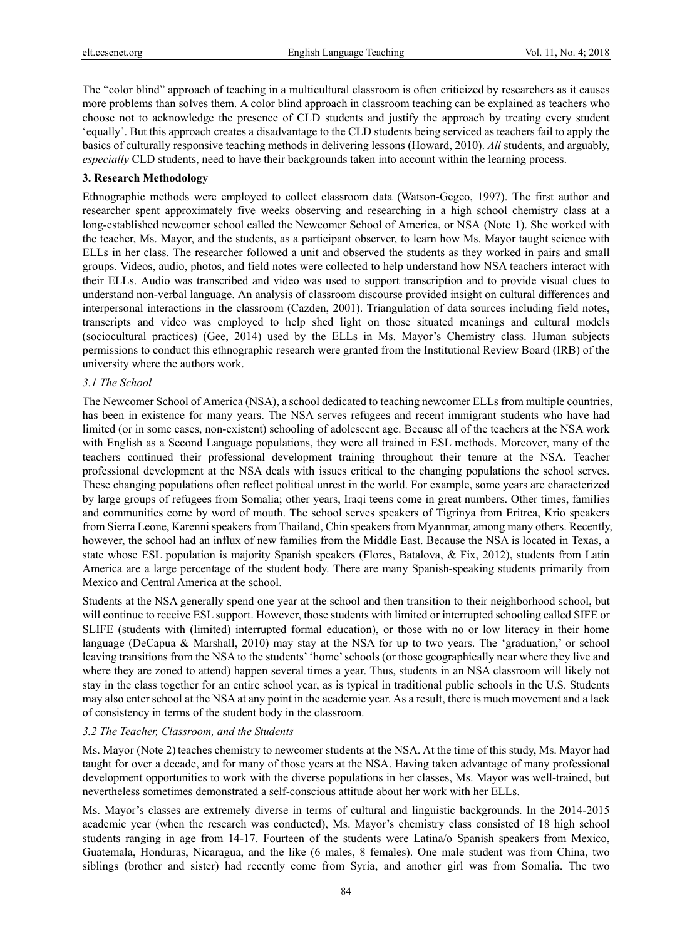The "color blind" approach of teaching in a multicultural classroom is often criticized by researchers as it causes more problems than solves them. A color blind approach in classroom teaching can be explained as teachers who choose not to acknowledge the presence of CLD students and justify the approach by treating every student 'equally'. But this approach creates a disadvantage to the CLD students being serviced as teachers fail to apply the basics of culturally responsive teaching methods in delivering lessons (Howard, 2010). *All* students, and arguably, *especially* CLD students, need to have their backgrounds taken into account within the learning process.

#### **3. Research Methodology**

Ethnographic methods were employed to collect classroom data (Watson-Gegeo, 1997). The first author and researcher spent approximately five weeks observing and researching in a high school chemistry class at a long-established newcomer school called the Newcomer School of America, or NSA (Note 1). She worked with the teacher, Ms. Mayor, and the students, as a participant observer, to learn how Ms. Mayor taught science with ELLs in her class. The researcher followed a unit and observed the students as they worked in pairs and small groups. Videos, audio, photos, and field notes were collected to help understand how NSA teachers interact with their ELLs. Audio was transcribed and video was used to support transcription and to provide visual clues to understand non-verbal language. An analysis of classroom discourse provided insight on cultural differences and interpersonal interactions in the classroom (Cazden, 2001). Triangulation of data sources including field notes, transcripts and video was employed to help shed light on those situated meanings and cultural models (sociocultural practices) (Gee, 2014) used by the ELLs in Ms. Mayor's Chemistry class. Human subjects permissions to conduct this ethnographic research were granted from the Institutional Review Board (IRB) of the university where the authors work.

#### *3.1 The School*

The Newcomer School of America (NSA), a school dedicated to teaching newcomer ELLs from multiple countries, has been in existence for many years. The NSA serves refugees and recent immigrant students who have had limited (or in some cases, non-existent) schooling of adolescent age. Because all of the teachers at the NSA work with English as a Second Language populations, they were all trained in ESL methods. Moreover, many of the teachers continued their professional development training throughout their tenure at the NSA. Teacher professional development at the NSA deals with issues critical to the changing populations the school serves. These changing populations often reflect political unrest in the world. For example, some years are characterized by large groups of refugees from Somalia; other years, Iraqi teens come in great numbers. Other times, families and communities come by word of mouth. The school serves speakers of Tigrinya from Eritrea, Krio speakers from Sierra Leone, Karenni speakers from Thailand, Chin speakers from Myannmar, among many others. Recently, however, the school had an influx of new families from the Middle East. Because the NSA is located in Texas, a state whose ESL population is majority Spanish speakers (Flores, Batalova, & Fix, 2012), students from Latin America are a large percentage of the student body. There are many Spanish-speaking students primarily from Mexico and Central America at the school.

Students at the NSA generally spend one year at the school and then transition to their neighborhood school, but will continue to receive ESL support. However, those students with limited or interrupted schooling called SIFE or SLIFE (students with (limited) interrupted formal education), or those with no or low literacy in their home language (DeCapua & Marshall, 2010) may stay at the NSA for up to two years. The 'graduation,' or school leaving transitions from the NSA to the students' 'home' schools (or those geographically near where they live and where they are zoned to attend) happen several times a year. Thus, students in an NSA classroom will likely not stay in the class together for an entire school year, as is typical in traditional public schools in the U.S. Students may also enter school at the NSA at any point in the academic year. As a result, there is much movement and a lack of consistency in terms of the student body in the classroom.

#### *3.2 The Teacher, Classroom, and the Students*

Ms. Mayor (Note 2) teaches chemistry to newcomer students at the NSA. At the time of this study, Ms. Mayor had taught for over a decade, and for many of those years at the NSA. Having taken advantage of many professional development opportunities to work with the diverse populations in her classes, Ms. Mayor was well-trained, but nevertheless sometimes demonstrated a self-conscious attitude about her work with her ELLs.

Ms. Mayor's classes are extremely diverse in terms of cultural and linguistic backgrounds. In the 2014-2015 academic year (when the research was conducted), Ms. Mayor's chemistry class consisted of 18 high school students ranging in age from 14-17. Fourteen of the students were Latina/o Spanish speakers from Mexico, Guatemala, Honduras, Nicaragua, and the like (6 males, 8 females). One male student was from China, two siblings (brother and sister) had recently come from Syria, and another girl was from Somalia. The two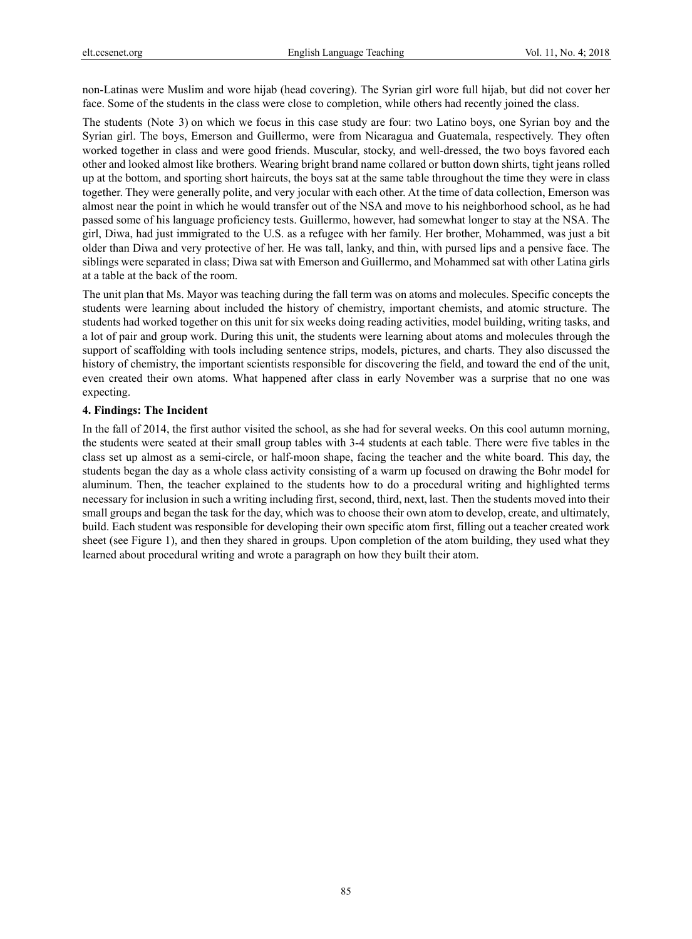non-Latinas were Muslim and wore hijab (head covering). The Syrian girl wore full hijab, but did not cover her face. Some of the students in the class were close to completion, while others had recently joined the class.

The students (Note 3) on which we focus in this case study are four: two Latino boys, one Syrian boy and the Syrian girl. The boys, Emerson and Guillermo, were from Nicaragua and Guatemala, respectively. They often worked together in class and were good friends. Muscular, stocky, and well-dressed, the two boys favored each other and looked almost like brothers. Wearing bright brand name collared or button down shirts, tight jeans rolled up at the bottom, and sporting short haircuts, the boys sat at the same table throughout the time they were in class together. They were generally polite, and very jocular with each other. At the time of data collection, Emerson was almost near the point in which he would transfer out of the NSA and move to his neighborhood school, as he had passed some of his language proficiency tests. Guillermo, however, had somewhat longer to stay at the NSA. The girl, Diwa, had just immigrated to the U.S. as a refugee with her family. Her brother, Mohammed, was just a bit older than Diwa and very protective of her. He was tall, lanky, and thin, with pursed lips and a pensive face. The siblings were separated in class; Diwa sat with Emerson and Guillermo, and Mohammed sat with other Latina girls at a table at the back of the room.

The unit plan that Ms. Mayor was teaching during the fall term was on atoms and molecules. Specific concepts the students were learning about included the history of chemistry, important chemists, and atomic structure. The students had worked together on this unit for six weeks doing reading activities, model building, writing tasks, and a lot of pair and group work. During this unit, the students were learning about atoms and molecules through the support of scaffolding with tools including sentence strips, models, pictures, and charts. They also discussed the history of chemistry, the important scientists responsible for discovering the field, and toward the end of the unit, even created their own atoms. What happened after class in early November was a surprise that no one was expecting.

#### **4. Findings: The Incident**

In the fall of 2014, the first author visited the school, as she had for several weeks. On this cool autumn morning, the students were seated at their small group tables with 3-4 students at each table. There were five tables in the class set up almost as a semi-circle, or half-moon shape, facing the teacher and the white board. This day, the students began the day as a whole class activity consisting of a warm up focused on drawing the Bohr model for aluminum. Then, the teacher explained to the students how to do a procedural writing and highlighted terms necessary for inclusion in such a writing including first, second, third, next, last. Then the students moved into their small groups and began the task for the day, which was to choose their own atom to develop, create, and ultimately, build. Each student was responsible for developing their own specific atom first, filling out a teacher created work sheet (see Figure 1), and then they shared in groups. Upon completion of the atom building, they used what they learned about procedural writing and wrote a paragraph on how they built their atom.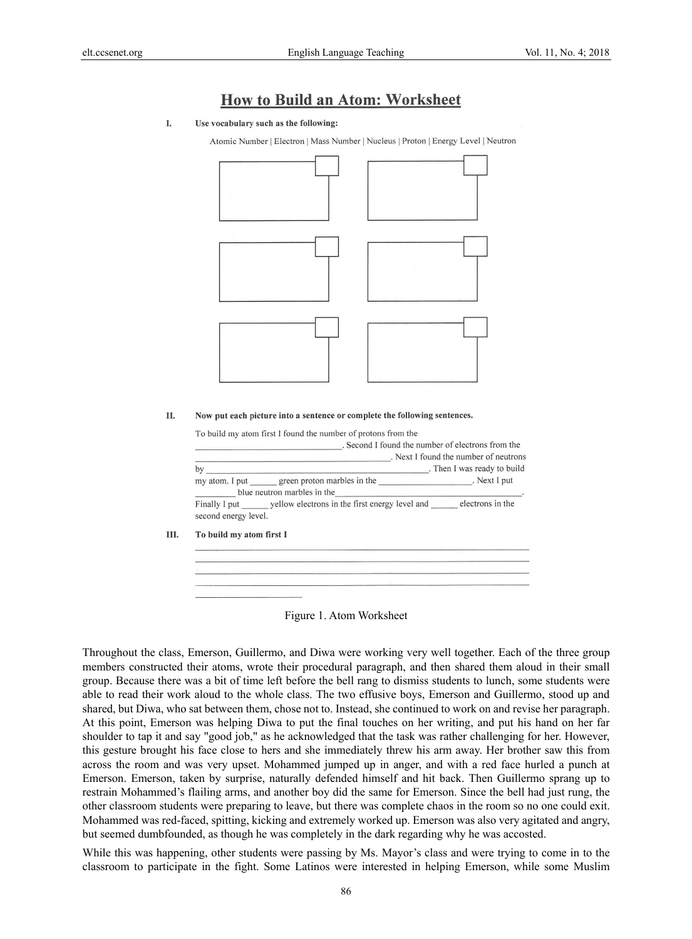III.

# **How to Build an Atom: Worksheet**

#### Use vocabulary such as the following:  $\mathbf{L}$

Atomic Number | Electron | Mass Number | Nucleus | Proton | Energy Level | Neutron



#### II. Now put each picture into a sentence or complete the following sentences.

To build my atom first I found the number of protons from the



#### Figure 1. Atom Worksheet

Throughout the class, Emerson, Guillermo, and Diwa were working very well together. Each of the three group members constructed their atoms, wrote their procedural paragraph, and then shared them aloud in their small group. Because there was a bit of time left before the bell rang to dismiss students to lunch, some students were able to read their work aloud to the whole class. The two effusive boys, Emerson and Guillermo, stood up and shared, but Diwa, who sat between them, chose not to. Instead, she continued to work on and revise her paragraph. At this point, Emerson was helping Diwa to put the final touches on her writing, and put his hand on her far shoulder to tap it and say "good job," as he acknowledged that the task was rather challenging for her. However, this gesture brought his face close to hers and she immediately threw his arm away. Her brother saw this from across the room and was very upset. Mohammed jumped up in anger, and with a red face hurled a punch at Emerson. Emerson, taken by surprise, naturally defended himself and hit back. Then Guillermo sprang up to restrain Mohammed's flailing arms, and another boy did the same for Emerson. Since the bell had just rung, the other classroom students were preparing to leave, but there was complete chaos in the room so no one could exit. Mohammed was red-faced, spitting, kicking and extremely worked up. Emerson was also very agitated and angry, but seemed dumbfounded, as though he was completely in the dark regarding why he was accosted.

While this was happening, other students were passing by Ms. Mayor's class and were trying to come in to the classroom to participate in the fight. Some Latinos were interested in helping Emerson, while some Muslim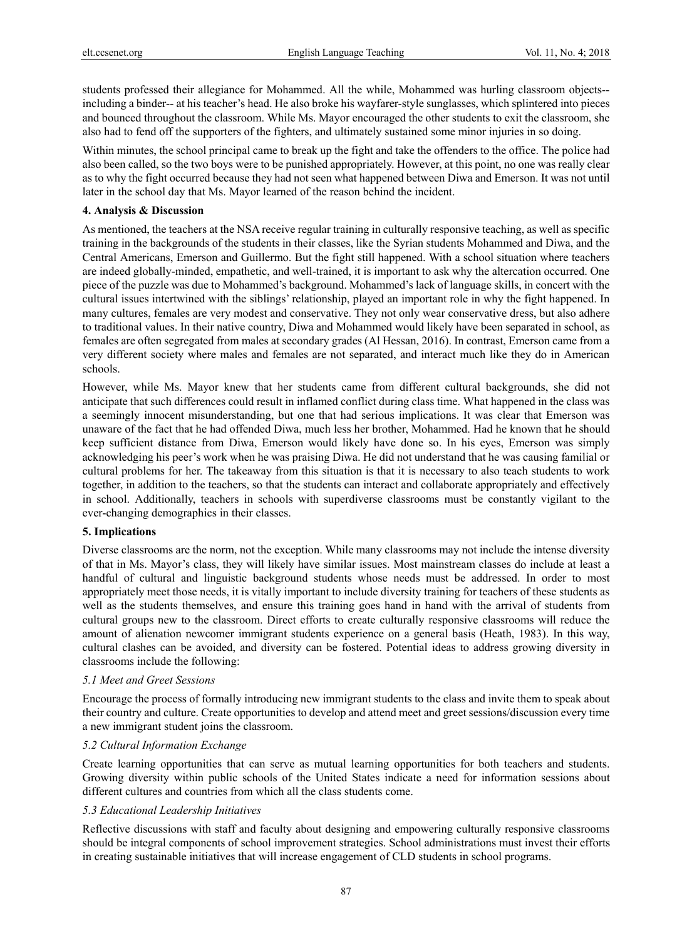students professed their allegiance for Mohammed. All the while, Mohammed was hurling classroom objects- including a binder-- at his teacher's head. He also broke his wayfarer-style sunglasses, which splintered into pieces and bounced throughout the classroom. While Ms. Mayor encouraged the other students to exit the classroom, she also had to fend off the supporters of the fighters, and ultimately sustained some minor injuries in so doing.

Within minutes, the school principal came to break up the fight and take the offenders to the office. The police had also been called, so the two boys were to be punished appropriately. However, at this point, no one was really clear as to why the fight occurred because they had not seen what happened between Diwa and Emerson. It was not until later in the school day that Ms. Mayor learned of the reason behind the incident.

#### **4. Analysis & Discussion**

As mentioned, the teachers at the NSA receive regular training in culturally responsive teaching, as well as specific training in the backgrounds of the students in their classes, like the Syrian students Mohammed and Diwa, and the Central Americans, Emerson and Guillermo. But the fight still happened. With a school situation where teachers are indeed globally-minded, empathetic, and well-trained, it is important to ask why the altercation occurred. One piece of the puzzle was due to Mohammed's background. Mohammed's lack of language skills, in concert with the cultural issues intertwined with the siblings' relationship, played an important role in why the fight happened. In many cultures, females are very modest and conservative. They not only wear conservative dress, but also adhere to traditional values. In their native country, Diwa and Mohammed would likely have been separated in school, as females are often segregated from males at secondary grades (Al Hessan, 2016). In contrast, Emerson came from a very different society where males and females are not separated, and interact much like they do in American schools.

However, while Ms. Mayor knew that her students came from different cultural backgrounds, she did not anticipate that such differences could result in inflamed conflict during class time. What happened in the class was a seemingly innocent misunderstanding, but one that had serious implications. It was clear that Emerson was unaware of the fact that he had offended Diwa, much less her brother, Mohammed. Had he known that he should keep sufficient distance from Diwa, Emerson would likely have done so. In his eyes, Emerson was simply acknowledging his peer's work when he was praising Diwa. He did not understand that he was causing familial or cultural problems for her. The takeaway from this situation is that it is necessary to also teach students to work together, in addition to the teachers, so that the students can interact and collaborate appropriately and effectively in school. Additionally, teachers in schools with superdiverse classrooms must be constantly vigilant to the ever-changing demographics in their classes.

### **5. Implications**

Diverse classrooms are the norm, not the exception. While many classrooms may not include the intense diversity of that in Ms. Mayor's class, they will likely have similar issues. Most mainstream classes do include at least a handful of cultural and linguistic background students whose needs must be addressed. In order to most appropriately meet those needs, it is vitally important to include diversity training for teachers of these students as well as the students themselves, and ensure this training goes hand in hand with the arrival of students from cultural groups new to the classroom. Direct efforts to create culturally responsive classrooms will reduce the amount of alienation newcomer immigrant students experience on a general basis (Heath, 1983). In this way, cultural clashes can be avoided, and diversity can be fostered. Potential ideas to address growing diversity in classrooms include the following:

#### *5.1 Meet and Greet Sessions*

Encourage the process of formally introducing new immigrant students to the class and invite them to speak about their country and culture. Create opportunities to develop and attend meet and greet sessions/discussion every time a new immigrant student joins the classroom.

### *5.2 Cultural Information Exchange*

Create learning opportunities that can serve as mutual learning opportunities for both teachers and students. Growing diversity within public schools of the United States indicate a need for information sessions about different cultures and countries from which all the class students come.

### *5.3 Educational Leadership Initiatives*

Reflective discussions with staff and faculty about designing and empowering culturally responsive classrooms should be integral components of school improvement strategies. School administrations must invest their efforts in creating sustainable initiatives that will increase engagement of CLD students in school programs.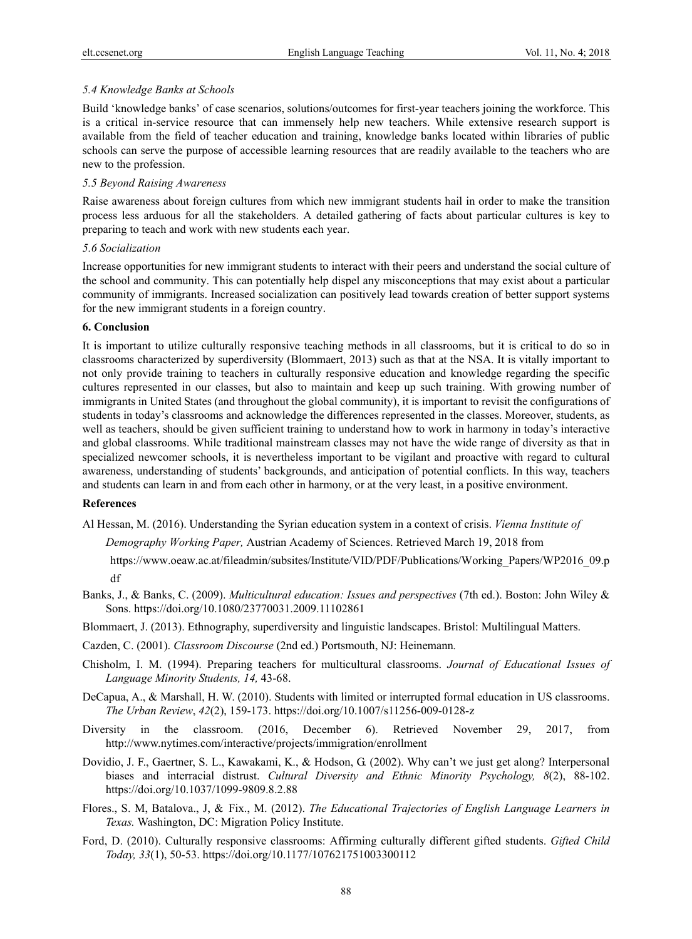#### *5.4 Knowledge Banks at Schools*

Build 'knowledge banks' of case scenarios, solutions/outcomes for first-year teachers joining the workforce. This is a critical in-service resource that can immensely help new teachers. While extensive research support is available from the field of teacher education and training, knowledge banks located within libraries of public schools can serve the purpose of accessible learning resources that are readily available to the teachers who are new to the profession.

#### *5.5 Beyond Raising Awareness*

Raise awareness about foreign cultures from which new immigrant students hail in order to make the transition process less arduous for all the stakeholders. A detailed gathering of facts about particular cultures is key to preparing to teach and work with new students each year.

#### *5.6 Socialization*

Increase opportunities for new immigrant students to interact with their peers and understand the social culture of the school and community. This can potentially help dispel any misconceptions that may exist about a particular community of immigrants. Increased socialization can positively lead towards creation of better support systems for the new immigrant students in a foreign country.

#### **6. Conclusion**

It is important to utilize culturally responsive teaching methods in all classrooms, but it is critical to do so in classrooms characterized by superdiversity (Blommaert, 2013) such as that at the NSA. It is vitally important to not only provide training to teachers in culturally responsive education and knowledge regarding the specific cultures represented in our classes, but also to maintain and keep up such training. With growing number of immigrants in United States (and throughout the global community), it is important to revisit the configurations of students in today's classrooms and acknowledge the differences represented in the classes. Moreover, students, as well as teachers, should be given sufficient training to understand how to work in harmony in today's interactive and global classrooms. While traditional mainstream classes may not have the wide range of diversity as that in specialized newcomer schools, it is nevertheless important to be vigilant and proactive with regard to cultural awareness, understanding of students' backgrounds, and anticipation of potential conflicts. In this way, teachers and students can learn in and from each other in harmony, or at the very least, in a positive environment.

#### **References**

Al Hessan, M. (2016). Understanding the Syrian education system in a context of crisis. *Vienna Institute of* 

*Demography Working Paper,* Austrian Academy of Sciences. Retrieved March 19, 2018 from

https://www.oeaw.ac.at/fileadmin/subsites/Institute/VID/PDF/Publications/Working\_Papers/WP2016\_09.p df

- Banks, J., & Banks, C. (2009). *Multicultural education: Issues and perspectives* (7th ed.). Boston: John Wiley & Sons. https://doi.org/10.1080/23770031.2009.11102861
- Blommaert, J. (2013). Ethnography, superdiversity and linguistic landscapes. Bristol: Multilingual Matters.
- Cazden, C. (2001). *Classroom Discourse* (2nd ed.) Portsmouth, NJ: Heinemann*.*
- Chisholm, I. M. (1994). Preparing teachers for multicultural classrooms. *Journal of Educational Issues of Language Minority Students, 14,* 43-68.
- DeCapua, A., & Marshall, H. W. (2010). Students with limited or interrupted formal education in US classrooms. *The Urban Review*, *42*(2), 159-173. https://doi.org/10.1007/s11256-009-0128-z
- Diversity in the classroom. (2016, December 6). Retrieved November 29, 2017, from http://www.nytimes.com/interactive/projects/immigration/enrollment
- Dovidio, J. F., Gaertner, S. L., Kawakami, K., & Hodson, G. (2002). Why can't we just get along? Interpersonal biases and interracial distrust. *Cultural Diversity and Ethnic Minority Psychology, 8*(2), 88-102. https://doi.org/10.1037/1099-9809.8.2.88
- Flores., S. M, Batalova., J, & Fix., M. (2012). *The Educational Trajectories of English Language Learners in Texas.* Washington, DC: Migration Policy Institute.
- Ford, D. (2010). Culturally responsive classrooms: Affirming culturally different gifted students. *Gifted Child Today, 33*(1), 50-53. https://doi.org/10.1177/107621751003300112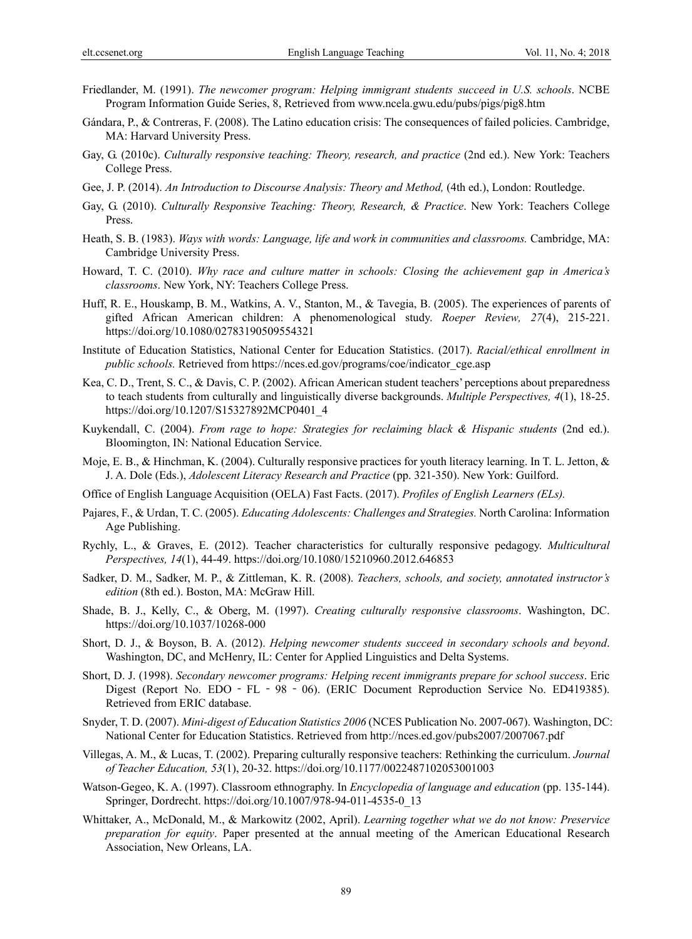- Friedlander, M. (1991). *The newcomer program: Helping immigrant students succeed in U.S. schools*. NCBE Program Information Guide Series, 8, Retrieved from www.ncela.gwu.edu/pubs/pigs/pig8.htm
- Gándara, P., & Contreras, F. (2008). The Latino education crisis: The consequences of failed policies. Cambridge, MA: Harvard University Press.
- Gay, G. (2010c). *Culturally responsive teaching: Theory, research, and practice* (2nd ed.). New York: Teachers College Press.
- Gee, J. P. (2014). *An Introduction to Discourse Analysis: Theory and Method,* (4th ed.), London: Routledge.
- Gay, G. (2010). *Culturally Responsive Teaching: Theory, Research, & Practice*. New York: Teachers College Press.
- Heath, S. B. (1983). *Ways with words: Language, life and work in communities and classrooms.* Cambridge, MA: Cambridge University Press.
- Howard, T. C. (2010). *Why race and culture matter in schools: Closing the achievement gap in America's classrooms*. New York, NY: Teachers College Press.
- Huff, R. E., Houskamp, B. M., Watkins, A. V., Stanton, M., & Tavegia, B. (2005). The experiences of parents of gifted African American children: A phenomenological study. *Roeper Review, 27*(4), 215-221. https://doi.org/10.1080/02783190509554321
- Institute of Education Statistics, National Center for Education Statistics. (2017). *Racial/ethical enrollment in public schools.* Retrieved from https://nces.ed.gov/programs/coe/indicator\_cge.asp
- Kea, C. D., Trent, S. C., & Davis, C. P. (2002). African American student teachers' perceptions about preparedness to teach students from culturally and linguistically diverse backgrounds. *Multiple Perspectives, 4*(1), 18-25. https://doi.org/10.1207/S15327892MCP0401\_4
- Kuykendall, C. (2004). *From rage to hope: Strategies for reclaiming black & Hispanic students* (2nd ed.). Bloomington, IN: National Education Service.
- Moje, E. B., & Hinchman, K. (2004). Culturally responsive practices for youth literacy learning. In T. L. Jetton, & J. A. Dole (Eds.), *Adolescent Literacy Research and Practice* (pp. 321-350). New York: Guilford.
- Office of English Language Acquisition (OELA) Fast Facts. (2017). *Profiles of English Learners (ELs).*
- Pajares, F., & Urdan, T. C. (2005). *Educating Adolescents: Challenges and Strategies.* North Carolina: Information Age Publishing.
- Rychly, L., & Graves, E. (2012). Teacher characteristics for culturally responsive pedagogy. *Multicultural Perspectives, 14*(1), 44-49. https://doi.org/10.1080/15210960.2012.646853
- Sadker, D. M., Sadker, M. P., & Zittleman, K. R. (2008). *Teachers, schools, and society, annotated instructor's edition* (8th ed.). Boston, MA: McGraw Hill.
- Shade, B. J., Kelly, C., & Oberg, M. (1997). *Creating culturally responsive classrooms*. Washington, DC. https://doi.org/10.1037/10268-000
- Short, D. J., & Boyson, B. A. (2012). *Helping newcomer students succeed in secondary schools and beyond*. Washington, DC, and McHenry, IL: Center for Applied Linguistics and Delta Systems.
- Short, D. J. (1998). *Secondary newcomer programs: Helping recent immigrants prepare for school success*. Eric Digest (Report No. EDO - FL - 98 - 06). (ERIC Document Reproduction Service No. ED419385). Retrieved from ERIC database.
- Snyder, T. D. (2007). *Mini-digest of Education Statistics 2006* (NCES Publication No. 2007-067). Washington, DC: National Center for Education Statistics. Retrieved from http://nces.ed.gov/pubs2007/2007067.pdf
- Villegas, A. M., & Lucas, T. (2002). Preparing culturally responsive teachers: Rethinking the curriculum. *Journal of Teacher Education, 53*(1), 20-32. https://doi.org/10.1177/0022487102053001003
- Watson-Gegeo, K. A. (1997). Classroom ethnography. In *Encyclopedia of language and education* (pp. 135-144). Springer, Dordrecht. https://doi.org/10.1007/978-94-011-4535-0\_13
- Whittaker, A., McDonald, M., & Markowitz (2002, April). *Learning together what we do not know: Preservice preparation for equity*. Paper presented at the annual meeting of the American Educational Research Association, New Orleans, LA.